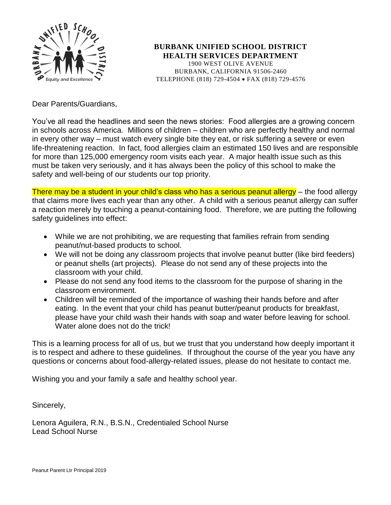

**BURBANK UNIFIED SCHOOL DISTRICT HEALTH SERVICES DEPARTMENT** 1900 WEST OLIVE AVENUE BURBANK, CALIFORNIA 91506-2460 TELEPHONE (818) 729-4504 • FAX (818) 729-4576

Dear Parents/Guardians,

You've all read the headlines and seen the news stories: Food allergies are a growing concern in schools across America. Millions of children – children who are perfectly healthy and normal in every other way – must watch every single bite they eat, or risk suffering a severe or even life-threatening reaction. In fact, food allergies claim an estimated 150 lives and are responsible for more than 125,000 emergency room visits each year. A major health issue such as this must be taken very seriously, and it has always been the policy of this school to make the safety and well-being of our students our top priority.

There may be a student in your child's class who has a serious peanut allergy – the food allergy that claims more lives each year than any other. A child with a serious peanut allergy can suffer a reaction merely by touching a peanut-containing food. Therefore, we are putting the following safety guidelines into effect:

- While we are not prohibiting, we are requesting that families refrain from sending peanut/nut-based products to school.
- We will not be doing any classroom projects that involve peanut butter (like bird feeders) or peanut shells (art projects). Please do not send any of these projects into the classroom with your child.
- Please do not send any food items to the classroom for the purpose of sharing in the classroom environment.
- Children will be reminded of the importance of washing their hands before and after eating. In the event that your child has peanut butter/peanut products for breakfast, please have your child wash their hands with soap and water before leaving for school. Water alone does not do the trick!

This is a learning process for all of us, but we trust that you understand how deeply important it is to respect and adhere to these guidelines. If throughout the course of the year you have any questions or concerns about food-allergy-related issues, please do not hesitate to contact me.

Wishing you and your family a safe and healthy school year.

Sincerely,

Lenora Aguilera, R.N., B.S.N., Credentialed School Nurse Lead School Nurse